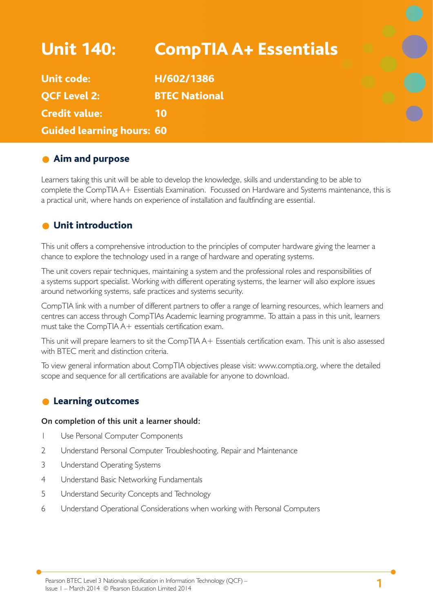| <b>Unit 140:</b>                 | <b>CompTIA A+ Essentials</b> |  |
|----------------------------------|------------------------------|--|
| <b>Unit code:</b>                | H/602/1386                   |  |
| <b>QCF Level 2:</b>              | <b>BTEC National</b>         |  |
| <b>Credit value:</b>             | 10                           |  |
| <b>Guided learning hours: 60</b> |                              |  |

# **Aim and purpose**

Learners taking this unit will be able to develop the knowledge, skills and understanding to be able to complete the CompTIA A+ Essentials Examination. Focussed on Hardware and Systems maintenance, this is a practical unit, where hands on experience of installation and faultfinding are essential.

# **O** Unit introduction

This unit offers a comprehensive introduction to the principles of computer hardware giving the learner a chance to explore the technology used in a range of hardware and operating systems.

The unit covers repair techniques, maintaining a system and the professional roles and responsibilities of a systems support specialist. Working with different operating systems, the learner will also explore issues around networking systems, safe practices and systems security.

CompTIA link with a number of different partners to offer a range of learning resources, which learners and centres can access through CompTIAs Academic learning programme. To attain a pass in this unit, learners must take the CompTIA A+ essentials certification exam.

This unit will prepare learners to sit the CompTIA A+ Essentials certification exam. This unit is also assessed with BTEC merit and distinction criteria.

To view general information about CompTIA objectives please visit: www.comptia.org, where the detailed scope and sequence for all certifications are available for anyone to download.

## **C** Learning outcomes

### **On completion of this unit a learner should:**

- 1 Use Personal Computer Components
- 2 Understand Personal Computer Troubleshooting, Repair and Maintenance
- 3 Understand Operating Systems
- 4 Understand Basic Networking Fundamentals
- 5 Understand Security Concepts and Technology
- 6 Understand Operational Considerations when working with Personal Computers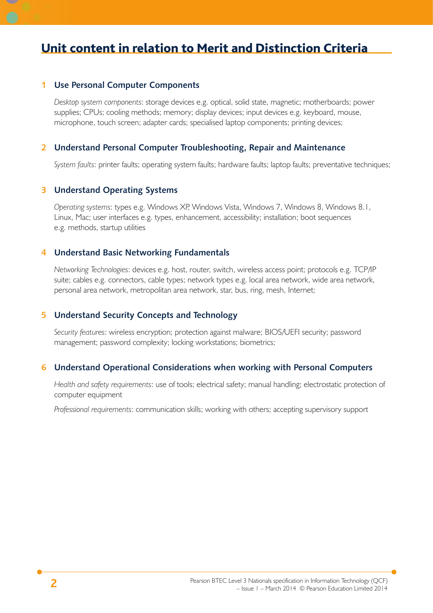# Unit content in relation to Merit and Distinction Criteria

### **1 Use Personal Computer Components**

*Desktop system components*: storage devices e.g. optical, solid state, magnetic; motherboards; power supplies; CPUs; cooling methods; memory; display devices; input devices e.g. keyboard, mouse, microphone, touch screen; adapter cards; specialised laptop components; printing devices;

### **2 Understand Personal Computer Troubleshooting, Repair and Maintenance**

*System faults*: printer faults; operating system faults; hardware faults; laptop faults; preventative techniques;

#### **3 Understand Operating Systems**

*Operating systems*: types e.g. Windows XP, Windows Vista, Windows 7, Windows 8, Windows 8.1, Linux, Mac; user interfaces e.g. types, enhancement, accessibility; installation; boot sequences e.g. methods, startup utilities

### **4 Understand Basic Networking Fundamentals**

*Networking Technologies*: devices e.g. host, router, switch, wireless access point; protocols e.g. TCP/IP suite; cables e.g. connectors, cable types; network types e.g. local area network, wide area network, personal area network, metropolitan area network, star, bus, ring, mesh, Internet;

### **5 Understand Security Concepts and Technology**

*Security features*: wireless encryption; protection against malware; BIOS/UEFI security; password management; password complexity; locking workstations; biometrics;

### **6 Understand Operational Considerations when working with Personal Computers**

*Health and safety requirements*: use of tools; electrical safety; manual handling; electrostatic protection of computer equipment

*Professional requirements*: communication skills; working with others; accepting supervisory support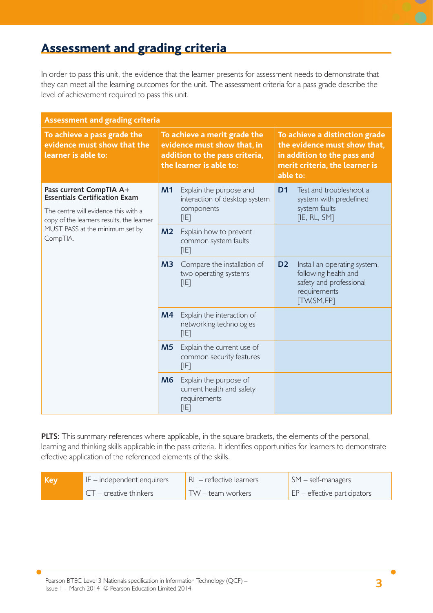# Assessment and grading criteria

In order to pass this unit, the evidence that the learner presents for assessment needs to demonstrate that they can meet all the learning outcomes for the unit. The assessment criteria for a pass grade describe the level of achievement required to pass this unit.

| <b>Assessment and grading criteria</b>                                                                                                                                                              |                                                                                                                          |                                                                                |                                                                                                                                             |                                                                                                                       |
|-----------------------------------------------------------------------------------------------------------------------------------------------------------------------------------------------------|--------------------------------------------------------------------------------------------------------------------------|--------------------------------------------------------------------------------|---------------------------------------------------------------------------------------------------------------------------------------------|-----------------------------------------------------------------------------------------------------------------------|
| To achieve a pass grade the<br>evidence must show that the<br>learner is able to:                                                                                                                   | To achieve a merit grade the<br>evidence must show that, in<br>addition to the pass criteria,<br>the learner is able to: |                                                                                | To achieve a distinction grade<br>the evidence must show that,<br>in addition to the pass and<br>merit criteria, the learner is<br>able to: |                                                                                                                       |
| Pass current CompTIA A+<br><b>Essentials Certification Exam</b><br>The centre will evidence this with a<br>copy of the learners results, the learner<br>MUST PASS at the minimum set by<br>CompTIA. | M1                                                                                                                       | Explain the purpose and<br>interaction of desktop system<br>components<br>[IE] | D <sub>1</sub>                                                                                                                              | Test and troubleshoot a<br>system with predefined<br>system faults<br>[IE, RL, SM]                                    |
|                                                                                                                                                                                                     | M <sub>2</sub>                                                                                                           | Explain how to prevent<br>common system faults<br>[IE]                         |                                                                                                                                             |                                                                                                                       |
|                                                                                                                                                                                                     | M <sup>3</sup>                                                                                                           | Compare the installation of<br>two operating systems<br>[IF]                   | D <sub>2</sub>                                                                                                                              | Install an operating system,<br>following health and<br>safety and professional<br>requirements<br><b>TW, SM, EPT</b> |
|                                                                                                                                                                                                     | M4                                                                                                                       | Explain the interaction of<br>networking technologies<br>[IF]                  |                                                                                                                                             |                                                                                                                       |
|                                                                                                                                                                                                     | M <sub>5</sub>                                                                                                           | Explain the current use of<br>common security features<br>[IF]                 |                                                                                                                                             |                                                                                                                       |
|                                                                                                                                                                                                     | M6                                                                                                                       | Explain the purpose of<br>current health and safety<br>requirements<br>[IF]    |                                                                                                                                             |                                                                                                                       |

**PLTS**: This summary references where applicable, in the square brackets, the elements of the personal, learning and thinking skills applicable in the pass criteria. It identifies opportunities for learners to demonstrate effective application of the referenced elements of the skills.

| l Kev | $E$ – independent enquirers | RL - reflective learners | $\mathsf{SM}$ – self-managers             |
|-------|-----------------------------|--------------------------|-------------------------------------------|
|       | $CT$ – creative thinkers    | TW – team workers        | $\mathsf{E}$ EP – effective participators |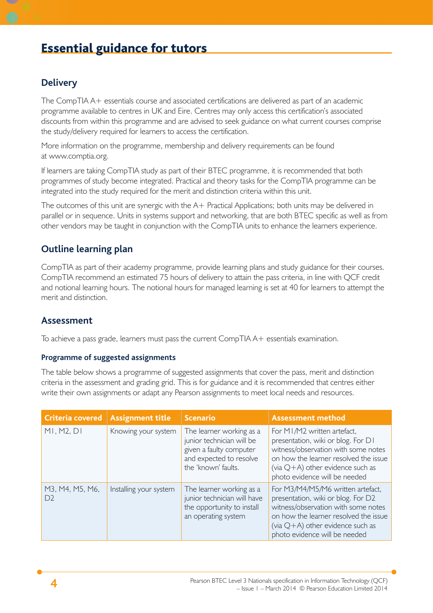# Essential guidance for tutors

## **Delivery**

The CompTIA A+ essentials course and associated certifications are delivered as part of an academic programme available to centres in UK and Eire. Centres may only access this certification's associated discounts from within this programme and are advised to seek guidance on what current courses comprise the study/delivery required for learners to access the certification.

More information on the programme, membership and delivery requirements can be found at www.comptia.org.

If learners are taking CompTIA study as part of their BTEC programme, it is recommended that both programmes of study become integrated. Practical and theory tasks for the CompTIA programme can be integrated into the study required for the merit and distinction criteria within this unit.

The outcomes of this unit are synergic with the A+ Practical Applications; both units may be delivered in parallel or in sequence. Units in systems support and networking, that are both BTEC specific as well as from other vendors may be taught in conjunction with the CompTIA units to enhance the learners experience.

# **Outline learning plan**

CompTIA as part of their academy programme, provide learning plans and study guidance for their courses. CompTIA recommend an estimated 75 hours of delivery to attain the pass criteria, in line with QCF credit and notional learning hours. The notional hours for managed learning is set at 40 for learners to attempt the merit and distinction.

## **Assessment**

To achieve a pass grade, learners must pass the current CompTIA A+ essentials examination.

### **Programme of suggested assignments**

The table below shows a programme of suggested assignments that cover the pass, merit and distinction criteria in the assessment and grading grid. This is for guidance and it is recommended that centres either write their own assignments or adapt any Pearson assignments to meet local needs and resources.

| Criteria covered                  | <b>Assignment title</b> | <b>Scenario</b>                                                                                                                    | <b>Assessment method</b>                                                                                                                                                                                                        |
|-----------------------------------|-------------------------|------------------------------------------------------------------------------------------------------------------------------------|---------------------------------------------------------------------------------------------------------------------------------------------------------------------------------------------------------------------------------|
| M1, M2, D1                        | Knowing your system     | The learner working as a<br>junior technician will be<br>given a faulty computer<br>and expected to resolve<br>the 'known' faults. | For M1/M2 written artefact,<br>presentation, wiki or blog. For D1<br>witness/observation with some notes<br>on how the learner resolved the issue<br>(via $Q+A$ ) other evidence such as<br>photo evidence will be needed       |
| M3, M4, M5, M6,<br>D <sub>2</sub> | Installing your system  | The learner working as a<br>junior technician will have<br>the opportunity to install<br>an operating system                       | For M3/M4/M5/M6 written artefact,<br>presentation, wiki or blog. For D2<br>witness/observation with some notes<br>on how the learner resolved the issue<br>(via $Q+A$ ) other evidence such as<br>photo evidence will be needed |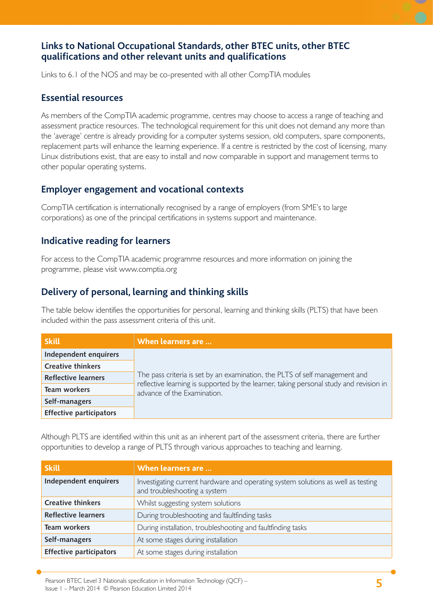## **Links to National Occupational Standards, other BTEC units, other BTEC qualifi cations and other relevant units and qualifi cations**

Links to 6.1 of the NOS and may be co-presented with all other CompTIA modules

## **Essential resources**

As members of the CompTIA academic programme, centres may choose to access a range of teaching and assessment practice resources. The technological requirement for this unit does not demand any more than the 'average' centre is already providing for a computer systems session, old computers, spare components, replacement parts will enhance the learning experience. If a centre is restricted by the cost of licensing, many Linux distributions exist, that are easy to install and now comparable in support and management terms to other popular operating systems.

## **Employer engagement and vocational contexts**

CompTIA certification is internationally recognised by a range of employers (from SME's to large corporations) as one of the principal certifications in systems support and maintenance.

## **Indicative reading for learners**

For access to the CompTIA academic programme resources and more information on joining the programme, please visit www.comptia.org

## **Delivery of personal, learning and thinking skills**

The table below identifies the opportunities for personal, learning and thinking skills (PLTS) that have been included within the pass assessment criteria of this unit.

| <b>Skill</b>                   | When learners are                                                                                                     |  |  |  |
|--------------------------------|-----------------------------------------------------------------------------------------------------------------------|--|--|--|
| Independent enquirers          |                                                                                                                       |  |  |  |
| <b>Creative thinkers</b>       |                                                                                                                       |  |  |  |
| <b>Reflective learners</b>     | The pass criteria is set by an examination, the PLTS of self management and                                           |  |  |  |
| Team workers                   | reflective learning is supported by the learner, taking personal study and revision in<br>advance of the Examination. |  |  |  |
| Self-managers                  |                                                                                                                       |  |  |  |
| <b>Effective participators</b> |                                                                                                                       |  |  |  |

Although PLTS are identified within this unit as an inherent part of the assessment criteria, there are further opportunities to develop a range of PLTS through various approaches to teaching and learning.

| <b>Skill</b>                   | When learners are                                                                                                |
|--------------------------------|------------------------------------------------------------------------------------------------------------------|
| Independent enquirers          | Investigating current hardware and operating system solutions as well as testing<br>and troubleshooting a system |
| <b>Creative thinkers</b>       | Whilst suggesting system solutions                                                                               |
| <b>Reflective learners</b>     | During troubleshooting and faultfinding tasks                                                                    |
| <b>Team workers</b>            | During installation, troubleshooting and faultfinding tasks                                                      |
| Self-managers                  | At some stages during installation                                                                               |
| <b>Effective participators</b> | At some stages during installation                                                                               |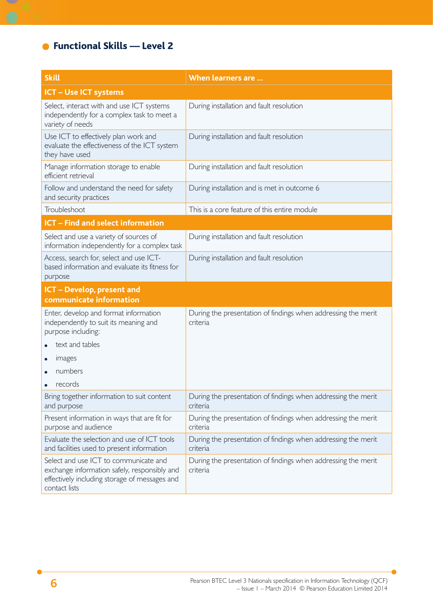# ● Functional Skills — Level 2

 $\sim$ 

| <b>Skill</b>                                                                                                                                            | When learners are                                                         |  |  |
|---------------------------------------------------------------------------------------------------------------------------------------------------------|---------------------------------------------------------------------------|--|--|
| <b>ICT - Use ICT systems</b>                                                                                                                            |                                                                           |  |  |
| Select, interact with and use ICT systems<br>independently for a complex task to meet a<br>variety of needs                                             | During installation and fault resolution                                  |  |  |
| Use ICT to effectively plan work and<br>evaluate the effectiveness of the ICT system<br>they have used                                                  | During installation and fault resolution                                  |  |  |
| Manage information storage to enable<br>efficient retrieval                                                                                             | During installation and fault resolution                                  |  |  |
| Follow and understand the need for safety<br>and security practices                                                                                     | During installation and is met in outcome 6                               |  |  |
| Troubleshoot                                                                                                                                            | This is a core feature of this entire module                              |  |  |
| <b>ICT - Find and select information</b>                                                                                                                |                                                                           |  |  |
| Select and use a variety of sources of<br>information independently for a complex task                                                                  | During installation and fault resolution                                  |  |  |
| Access, search for, select and use ICT-<br>based information and evaluate its fitness for<br>purpose                                                    | During installation and fault resolution                                  |  |  |
| <b>ICT</b> - Develop, present and<br>communicate information                                                                                            |                                                                           |  |  |
| Enter, develop and format information<br>independently to suit its meaning and<br>purpose including:                                                    | During the presentation of findings when addressing the merit<br>criteria |  |  |
| text and tables                                                                                                                                         |                                                                           |  |  |
| images                                                                                                                                                  |                                                                           |  |  |
| numbers                                                                                                                                                 |                                                                           |  |  |
| records                                                                                                                                                 |                                                                           |  |  |
| Bring together information to suit content<br>and purpose                                                                                               | During the presentation of findings when addressing the merit<br>criteria |  |  |
| Present information in ways that are fit for<br>purpose and audience                                                                                    | During the presentation of findings when addressing the merit<br>criteria |  |  |
| Evaluate the selection and use of ICT tools<br>and facilities used to present information                                                               | During the presentation of findings when addressing the merit<br>criteria |  |  |
| Select and use ICT to communicate and<br>exchange information safely, responsibly and<br>effectively including storage of messages and<br>contact lists | During the presentation of findings when addressing the merit<br>criteria |  |  |

h